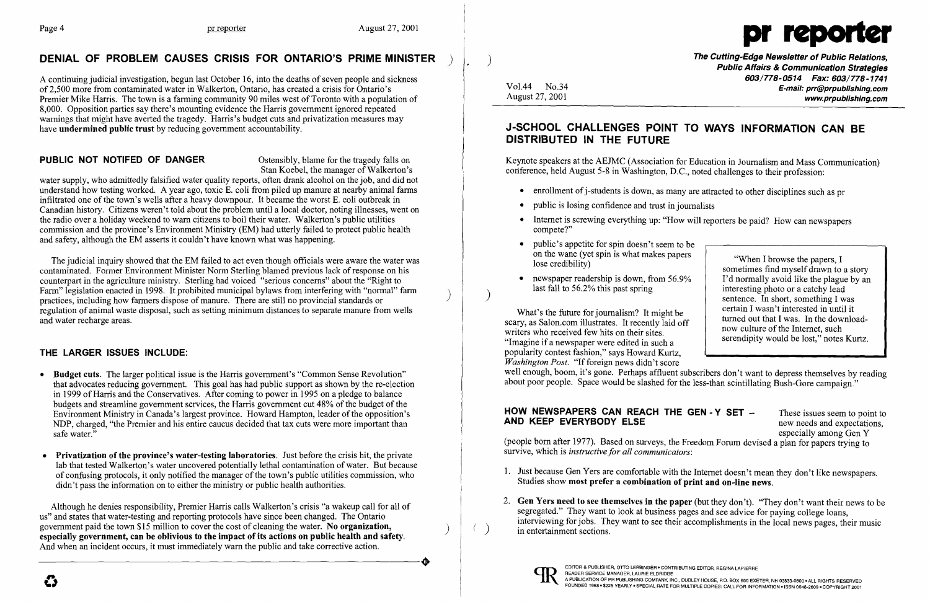$\left( \right)$ 

A continuing judicial investigation, begun last October 16, into the deaths of seven people and sickness of2,500 more from contaminated water in Walkerton, Ontario, has created a crisis for Ontario's Premier Mike Harris. The town is a farming community 90 miles west of Toronto with a population of 8,000. Opposition parties say there's mounting evidence the Harris government ignored repeated warnings that might have averted the tragedy. Harris's budget cuts and privatization measures may have undermined public trust by reducing government accountability.

### **PUBLIC NOT NOTIFED OF DANGER** Ostensibly, blame for the tragedy falls on

Stan Koebel, the manager of Walkerton's

water supply, who admittedly falsified water quality reports, often drank alcohol on the job, and did not understand how testing worked. A year ago, toxic E. coli from piled up manure at nearby animal farms infiltrated one of the town's wells after a heavy downpour. It became the worst E. coli outbreak in Canadian history. Citizens weren't told about the problem until a local doctor, noting illnesses, went on the radio over a holiday weekend to warn citizens to boil their water. Walkerton's public utilities commission and the province's Environment Ministry (EM) had utterly failed to protect public health and safety, although the EM asserts it couldn't have known what was happening.

The judicial inquiry showed that the EM failed to act even though officials were aware the water was contaminated. Former Environment Minister Norm Sterling blamed previous lack of response on his counterpart in the agriculture ministry. Sterling had voiced "serious concerns" about the "Right to Farm" legislation enacted in 1998. It prohibited municipal bylaws from interfering with "normal" farm practices, including how farmers dispose of manure. There are still no provincial standards or regulation of animal waste disposal, such as setting minimum distances to separate manure from wells and water recharge areas.

The Cutting-Edge Newsletter of Public Relations, ) Public Affairs & Communication Strategies *603/778-0514 Fax: 603/778-1741*  Vol.44 No.34 **No.34** No.34 **E-mail: prr@prpublishing.com** www.prpublishing.com

### THE LARGER ISSUES INCLUDE:

- Budget cuts. The larger political issue is the Harris government's "Common Sense Revolution" that advocates reducing government. This goal has had public support as shown by the re-election in 1999 of Harris and the Conservatives. After coming to power in 1995 on a pledge to balance budgets and streamline government services, the Harris government cut 48% of the budget of the Environment Ministry in Canada's largest province. Howard Hampton, leader of the opposition's NDP, charged, "the Premier and his entire caucus decided that tax cuts were more important than safe water."
- Privatization of the province's water-testing laboratories. Just before the crisis hit, the private lab that tested Walkerton's water uncovered potentially lethal contamination of water. But because of confusing protocols, it only notified the manager of the town's public utilities commission, who didn't pass the information on to either the ministry or public health authorities.

What's the future for journalism? It might be scary, as Salon.com illustrates. It recently laid off writers who received few hits on their sites. "Imagine if a newspaper were edited in such a popularity contest fashion," says Howard Kurtz, *Washington Post.* "If foreign news didn't score well enough, boom, it's gone. Perhaps affluent subscribers don't want to depress themselves by reading about poor people. Space would be slashed for the less-than scintillating Bush-Gore campaign."

# **HOW NEWSPAPERS CAN REACH THE GEN - Y SET**  $-$  These issues seem to point to **AND KEEP EVERYBODY ELSE**

new needs and expectations, especially among Gen Y

Although he denies responsibility, Premier Harris calls Walkerton's crisis "a wakeup call for all of us" and states that water-testing and reporting protocols have since been changed. The Ontario government paid the town \$15 million to cover the cost of cleaning the water. No organization, especially government, can be oblivious to the impact of its actions on public health and safety.<br>And when an incident occurs, it must immediately warn the public and take corrective action. And when an incident occurs, it must immediately warn the public and take corrective action.

)

## DENIAL OF PROBLEM CAUSES CRISIS FOR ONTARIO'S PRIME MINISTER



## J-SCHOOL CHALLENGES POINT TO WAYS INFORMATION CAN BE DISTRIBUTED IN THE FUTURE

Keynote speakers at the AEJMC (Association for Education in Journalism and Mass Communication) conference, held August 5-8 in Washington, D.C., noted challenges to their profession:

- enrollment of j-students is down, as many are attracted to other disciplines such as pr
- public is losing confidence and trust in journalists
- Internet is screwing everything up: "How will reporters be paid? How can newspapers compete?"
- public's appetite for spin doesn't seem to b
- newspaper readership is down, from  $56.9\%$ last fall to 56.2% this past spring

| public's appetite for spin doesn't seem to be                                                                                    |                                          |
|----------------------------------------------------------------------------------------------------------------------------------|------------------------------------------|
| on the wane (yet spin is what makes papers                                                                                       | "When I browse the papers, I             |
| lose credibility)                                                                                                                | sometimes find myself drawn to a story   |
| newspaper readership is down, from 56.9%                                                                                         | I'd normally avoid like the plague by an |
| last fall to 56.2% this past spring                                                                                              | interesting photo or a catchy lead       |
| t's the future for journalism? It might be                                                                                       | sentence. In short, something I was      |
| s Salon.com illustrates. It recently laid off                                                                                    | certain I wasn't interested in until it  |
| who received few hits on their sites.                                                                                            | turned out that I was. In the download-  |
| e if a newspaper were edited in such a                                                                                           | now culture of the Internet, such        |
| $\mathcal{L}_\mathcal{A}$ , and the state of the state of $\mathcal{L}_\mathcal{A}$ , and the state of $\mathcal{L}_\mathcal{A}$ | serendipity would be lost," notes Kurtz. |

(people born after 1977). Based on surveys, the Freedom Forum devised a plan for papers trying to survive, which is *instructive for all communicators:* 

- 1. Just because Gen Yers are comfortable with the Internet doesn't mean they don't like newspapers. Studies show most prefer a combination of print and on-line news.
- 2. Gen Yers need to see themselves in the paper (but they don't). "They don't want their news to be segregated." They want to look at business pages and see advice for paying college loans, interviewing for jobs. They want to see their accomplishments in the local news pages, their music in entertainment sections.